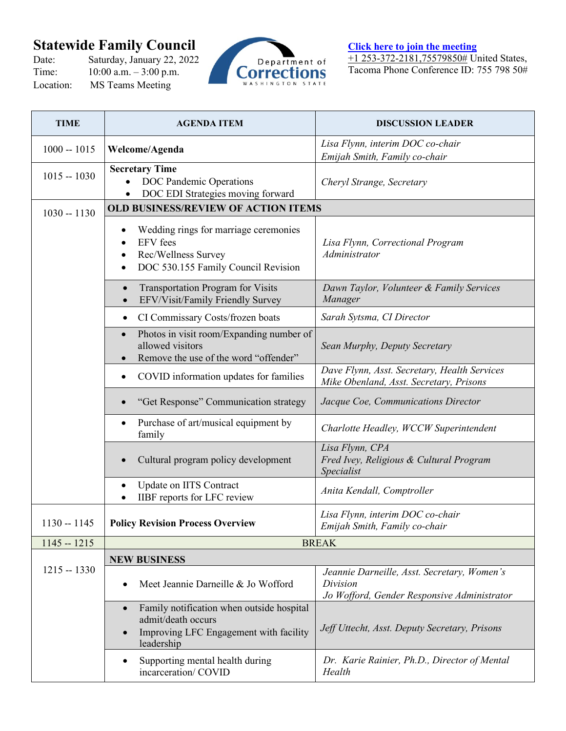## **Statewide Family Council**<br>Date: Saturday, January 22, 2022

Date: Saturday, January 22, 2022<br>Time: 10:00 a.m. – 3:00 p.m.  $10:00$  a.m.  $-3:00$  p.m. Location: MS Teams Meeting



**[Click here to join the meeting](https://teams.microsoft.com/l/meetup-join/19%3ameeting_MzUwOGZmZDktZTk5Mi00MzcxLTljMDYtNjA5YzY2MTM5MmIw%40thread.v2/0?context=%7b%22Tid%22%3a%2211d0e217-264e-400a-8ba0-57dcc127d72d%22%2c%22Oid%22%3a%22a3e3f401-0c8d-4a18-87f5-6bfdc48ea53f%22%7d)** +1 253-372-2181,75579850# United States, Tacoma Phone Conference ID: 755 798 50#

| <b>TIME</b>   | <b>AGENDA ITEM</b>                                                                                                      | <b>DISCUSSION LEADER</b>                                                                               |  |
|---------------|-------------------------------------------------------------------------------------------------------------------------|--------------------------------------------------------------------------------------------------------|--|
| $1000 - 1015$ | Welcome/Agenda                                                                                                          | Lisa Flynn, interim DOC co-chair<br>Emijah Smith, Family co-chair                                      |  |
| $1015 - 1030$ | <b>Secretary Time</b><br>DOC Pandemic Operations<br>DOC EDI Strategies moving forward<br>$\bullet$                      | Cheryl Strange, Secretary                                                                              |  |
| $1030 - 1130$ | OLD BUSINESS/REVIEW OF ACTION ITEMS                                                                                     |                                                                                                        |  |
|               | Wedding rings for marriage ceremonies<br><b>EFV</b> fees<br>Rec/Wellness Survey<br>DOC 530.155 Family Council Revision  | Lisa Flynn, Correctional Program<br>Administrator                                                      |  |
|               | <b>Transportation Program for Visits</b><br>EFV/Visit/Family Friendly Survey<br>$\bullet$                               | Dawn Taylor, Volunteer & Family Services<br>Manager                                                    |  |
|               | CI Commissary Costs/frozen boats<br>$\bullet$                                                                           | Sarah Sytsma, CI Director                                                                              |  |
|               | Photos in visit room/Expanding number of<br>$\bullet$<br>allowed visitors<br>Remove the use of the word "offender"      | Sean Murphy, Deputy Secretary                                                                          |  |
|               | COVID information updates for families                                                                                  | Dave Flynn, Asst. Secretary, Health Services<br>Mike Obenland, Asst. Secretary, Prisons                |  |
|               | "Get Response" Communication strategy                                                                                   | Jacque Coe, Communications Director                                                                    |  |
|               | Purchase of art/musical equipment by<br>family                                                                          | Charlotte Headley, WCCW Superintendent                                                                 |  |
|               | Cultural program policy development<br>$\bullet$                                                                        | Lisa Flynn, CPA<br>Fred Ivey, Religious & Cultural Program<br>Specialist                               |  |
|               | Update on IITS Contract<br>IIBF reports for LFC review                                                                  | Anita Kendall, Comptroller                                                                             |  |
| $1130 - 1145$ | <b>Policy Revision Process Overview</b>                                                                                 | Lisa Flynn, interim DOC co-chair<br>Emijah Smith, Family co-chair                                      |  |
| $1145 - 1215$ | <b>BREAK</b>                                                                                                            |                                                                                                        |  |
| $1215 - 1330$ | <b>NEW BUSINESS</b><br>Meet Jeannie Darneille & Jo Wofford                                                              | Jeannie Darneille, Asst. Secretary, Women's<br>Division<br>Jo Wofford, Gender Responsive Administrator |  |
|               | Family notification when outside hospital<br>admit/death occurs<br>Improving LFC Engagement with facility<br>leadership | Jeff Uttecht, Asst. Deputy Secretary, Prisons                                                          |  |
|               | Supporting mental health during<br>incarceration/COVID                                                                  | Dr. Karie Rainier, Ph.D., Director of Mental<br>Health                                                 |  |